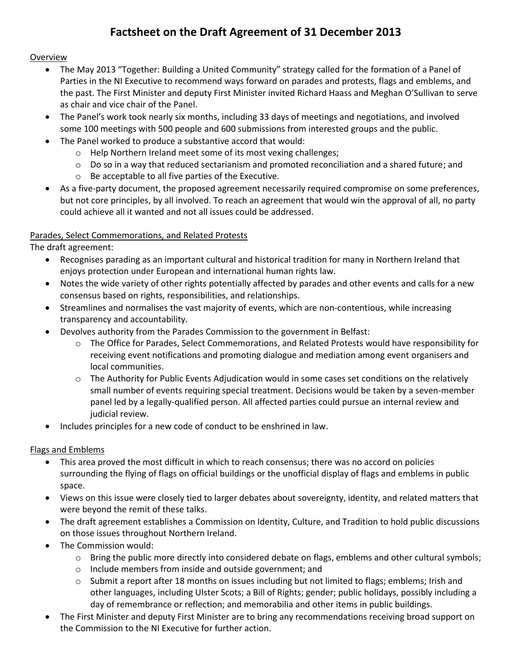# **Factsheet on the Draft Agreement of 31 December 2013**

#### **Overview**

- The May 2013 "Together: Building a United Community" strategy called for the formation of a Panel of Parties in the NI Executive to recommend ways forward on parades and protests, flags and emblems, and the past. The First Minister and deputy First Minister invited Richard Haass and Meghan O'Sullivan to serve as chair and vice chair of the Panel.
- The Panel's work took nearly six months, including 33 days of meetings and negotiations, and involved some 100 meetings with 500 people and 600 submissions from interested groups and the public.
- The Panel worked to produce a substantive accord that would:
	- o Help Northern Ireland meet some of its most vexing challenges;
	- $\circ$  Do so in a way that reduced sectarianism and promoted reconciliation and a shared future; and
	- o Be acceptable to all five parties of the Executive.
- As a five-party document, the proposed agreement necessarily required compromise on some preferences, but not core principles, by all involved. To reach an agreement that would win the approval of all, no party could achieve all it wanted and not all issues could be addressed.

## Parades, Select Commemorations, and Related Protests

The draft agreement:

- Recognises parading as an important cultural and historical tradition for many in Northern Ireland that enjoys protection under European and international human rights law.
- Notes the wide variety of other rights potentially affected by parades and other events and calls for a new consensus based on rights, responsibilities, and relationships.
- Streamlines and normalises the vast majority of events, which are non-contentious, while increasing transparency and accountability.
- Devolves authority from the Parades Commission to the government in Belfast:
	- o The Office for Parades, Select Commemorations, and Related Protests would have responsibility for receiving event notifications and promoting dialogue and mediation among event organisers and local communities.
	- $\circ$  The Authority for Public Events Adjudication would in some cases set conditions on the relatively small number of events requiring special treatment. Decisions would be taken by a seven-member panel led by a legally-qualified person. All affected parties could pursue an internal review and judicial review.
- Includes principles for a new code of conduct to be enshrined in law.

## Flags and Emblems

- This area proved the most difficult in which to reach consensus; there was no accord on policies surrounding the flying of flags on official buildings or the unofficial display of flags and emblems in public space.
- Views on this issue were closely tied to larger debates about sovereignty, identity, and related matters that were beyond the remit of these talks.
- The draft agreement establishes a Commission on Identity, Culture, and Tradition to hold public discussions on those issues throughout Northern Ireland.
- The Commission would:
	- $\circ$  Bring the public more directly into considered debate on flags, emblems and other cultural symbols;
	- o Include members from inside and outside government; and
	- $\circ$  Submit a report after 18 months on issues including but not limited to flags; emblems; Irish and other languages, including Ulster Scots; a Bill of Rights; gender; public holidays, possibly including a day of remembrance or reflection; and memorabilia and other items in public buildings.
- The First Minister and deputy First Minister are to bring any recommendations receiving broad support on the Commission to the NI Executive for further action.